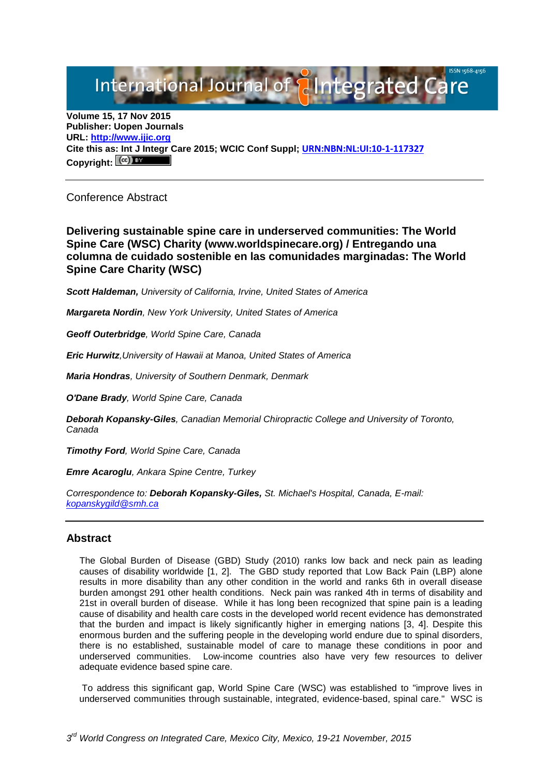# International Journal of **Alntegrated Care**

**Volume 15, 17 Nov 2015 Publisher: Uopen Journals URL: [http://www.ijic.org](http://www.ijic.org/) Cite this as: Int J Integr Care 2015; WCIC Conf Suppl; [URN:NBN:NL:UI:10-1-117327](http://persistent-identifier.nl/?identifier=URN:NBN:NL:UI:10-1-117327)** Copyright:  $(cc)$ 

Conference Abstract

**Delivering sustainable spine care in underserved communities: The World Spine Care (WSC) Charity (www.worldspinecare.org) / Entregando una columna de cuidado sostenible en las comunidades marginadas: The World Spine Care Charity (WSC)**

*Scott Haldeman, University of California, Irvine, United States of America*

*Margareta Nordin, New York University, United States of America*

*Geoff Outerbridge, World Spine Care, Canada*

*Eric Hurwitz,University of Hawaii at Manoa, United States of America*

*Maria Hondras, University of Southern Denmark, Denmark*

*O'Dane Brady, World Spine Care, Canada*

*Deborah Kopansky-Giles, Canadian Memorial Chiropractic College and University of Toronto, Canada*

*Timothy Ford, World Spine Care, Canada*

*Emre Acaroglu, Ankara Spine Centre, Turkey*

*Correspondence to: Deborah Kopansky-Giles, St. Michael's Hospital, Canada, E-mail: [kopanskygild@smh.ca](mailto:kopanskygild@smh.ca)*

## **Abstract**

The Global Burden of Disease (GBD) Study (2010) ranks low back and neck pain as leading causes of disability worldwide [1, 2]. The GBD study reported that Low Back Pain (LBP) alone results in more disability than any other condition in the world and ranks 6th in overall disease burden amongst 291 other health conditions. Neck pain was ranked 4th in terms of disability and 21st in overall burden of disease. While it has long been recognized that spine pain is a leading cause of disability and health care costs in the developed world recent evidence has demonstrated that the burden and impact is likely significantly higher in emerging nations [3, 4]. Despite this enormous burden and the suffering people in the developing world endure due to spinal disorders, there is no established, sustainable model of care to manage these conditions in poor and underserved communities. Low-income countries also have very few resources to deliver adequate evidence based spine care.

To address this significant gap, World Spine Care (WSC) was established to "improve lives in underserved communities through sustainable, integrated, evidence-based, spinal care." WSC is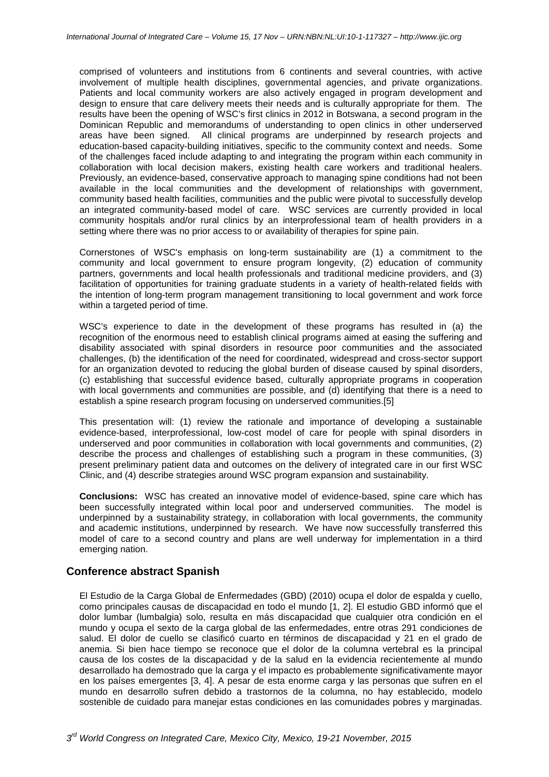comprised of volunteers and institutions from 6 continents and several countries, with active involvement of multiple health disciplines, governmental agencies, and private organizations. Patients and local community workers are also actively engaged in program development and design to ensure that care delivery meets their needs and is culturally appropriate for them. The results have been the opening of WSC's first clinics in 2012 in Botswana, a second program in the Dominican Republic and memorandums of understanding to open clinics in other underserved areas have been signed. All clinical programs are underpinned by research projects and education-based capacity-building initiatives, specific to the community context and needs. Some of the challenges faced include adapting to and integrating the program within each community in collaboration with local decision makers, existing health care workers and traditional healers. Previously, an evidence-based, conservative approach to managing spine conditions had not been available in the local communities and the development of relationships with government, community based health facilities, communities and the public were pivotal to successfully develop an integrated community-based model of care. WSC services are currently provided in local community hospitals and/or rural clinics by an interprofessional team of health providers in a setting where there was no prior access to or availability of therapies for spine pain.

Cornerstones of WSC's emphasis on long-term sustainability are (1) a commitment to the community and local government to ensure program longevity, (2) education of community partners, governments and local health professionals and traditional medicine providers, and (3) facilitation of opportunities for training graduate students in a variety of health-related fields with the intention of long-term program management transitioning to local government and work force within a targeted period of time.

WSC's experience to date in the development of these programs has resulted in (a) the recognition of the enormous need to establish clinical programs aimed at easing the suffering and disability associated with spinal disorders in resource poor communities and the associated challenges, (b) the identification of the need for coordinated, widespread and cross-sector support for an organization devoted to reducing the global burden of disease caused by spinal disorders, (c) establishing that successful evidence based, culturally appropriate programs in cooperation with local governments and communities are possible, and (d) identifying that there is a need to establish a spine research program focusing on underserved communities.[5]

This presentation will: (1) review the rationale and importance of developing a sustainable evidence-based, interprofessional, low-cost model of care for people with spinal disorders in underserved and poor communities in collaboration with local governments and communities, (2) describe the process and challenges of establishing such a program in these communities, (3) present preliminary patient data and outcomes on the delivery of integrated care in our first WSC Clinic, and (4) describe strategies around WSC program expansion and sustainability.

**Conclusions:** WSC has created an innovative model of evidence-based, spine care which has been successfully integrated within local poor and underserved communities. The model is underpinned by a sustainability strategy, in collaboration with local governments, the community and academic institutions, underpinned by research. We have now successfully transferred this model of care to a second country and plans are well underway for implementation in a third emerging nation.

## **Conference abstract Spanish**

El Estudio de la Carga Global de Enfermedades (GBD) (2010) ocupa el dolor de espalda y cuello, como principales causas de discapacidad en todo el mundo [1, 2]. El estudio GBD informó que el dolor lumbar (lumbalgia) solo, resulta en más discapacidad que cualquier otra condición en el mundo y ocupa el sexto de la carga global de las enfermedades, entre otras 291 condiciones de salud. El dolor de cuello se clasificó cuarto en términos de discapacidad y 21 en el grado de anemia. Si bien hace tiempo se reconoce que el dolor de la columna vertebral es la principal causa de los costes de la discapacidad y de la salud en la evidencia recientemente al mundo desarrollado ha demostrado que la carga y el impacto es probablemente significativamente mayor en los países emergentes [3, 4]. A pesar de esta enorme carga y las personas que sufren en el mundo en desarrollo sufren debido a trastornos de la columna, no hay establecido, modelo sostenible de cuidado para maneiar estas condiciones en las comunidades pobres y marginadas.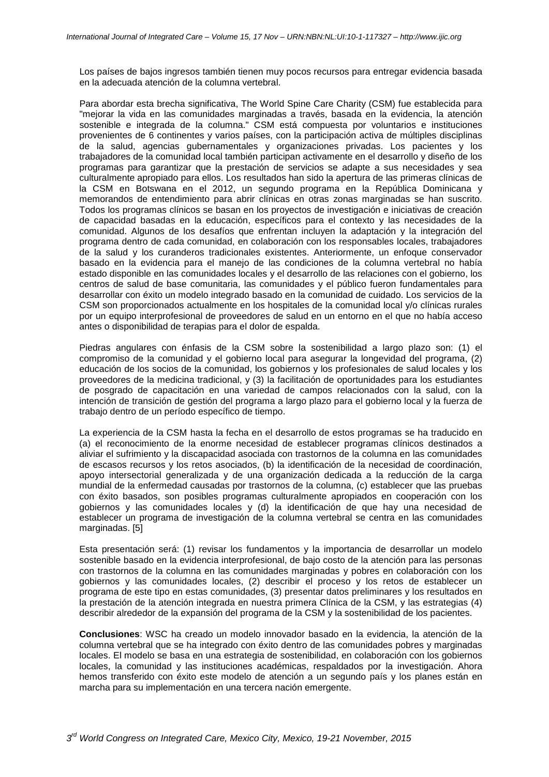Los países de bajos ingresos también tienen muy pocos recursos para entregar evidencia basada en la adecuada atención de la columna vertebral.

Para abordar esta brecha significativa, The World Spine Care Charity (CSM) fue establecida para "mejorar la vida en las comunidades marginadas a través, basada en la evidencia, la atención sostenible e integrada de la columna." CSM está compuesta por voluntarios e instituciones provenientes de 6 continentes y varios países, con la participación activa de múltiples disciplinas de la salud, agencias gubernamentales y organizaciones privadas. Los pacientes y los trabajadores de la comunidad local también participan activamente en el desarrollo y diseño de los programas para garantizar que la prestación de servicios se adapte a sus necesidades y sea culturalmente apropiado para ellos. Los resultados han sido la apertura de las primeras clínicas de la CSM en Botswana en el 2012, un segundo programa en la República Dominicana y memorandos de entendimiento para abrir clínicas en otras zonas marginadas se han suscrito. Todos los programas clínicos se basan en los proyectos de investigación e iniciativas de creación de capacidad basadas en la educación, específicos para el contexto y las necesidades de la comunidad. Algunos de los desafíos que enfrentan incluyen la adaptación y la integración del programa dentro de cada comunidad, en colaboración con los responsables locales, trabajadores de la salud y los curanderos tradicionales existentes. Anteriormente, un enfoque conservador basado en la evidencia para el manejo de las condiciones de la columna vertebral no había estado disponible en las comunidades locales y el desarrollo de las relaciones con el gobierno, los centros de salud de base comunitaria, las comunidades y el público fueron fundamentales para desarrollar con éxito un modelo integrado basado en la comunidad de cuidado. Los servicios de la CSM son proporcionados actualmente en los hospitales de la comunidad local y/o clínicas rurales por un equipo interprofesional de proveedores de salud en un entorno en el que no había acceso antes o disponibilidad de terapias para el dolor de espalda.

Piedras angulares con énfasis de la CSM sobre la sostenibilidad a largo plazo son: (1) el compromiso de la comunidad y el gobierno local para asegurar la longevidad del programa, (2) educación de los socios de la comunidad, los gobiernos y los profesionales de salud locales y los proveedores de la medicina tradicional, y (3) la facilitación de oportunidades para los estudiantes de posgrado de capacitación en una variedad de campos relacionados con la salud, con la intención de transición de gestión del programa a largo plazo para el gobierno local y la fuerza de trabajo dentro de un período específico de tiempo.

La experiencia de la CSM hasta la fecha en el desarrollo de estos programas se ha traducido en (a) el reconocimiento de la enorme necesidad de establecer programas clínicos destinados a aliviar el sufrimiento y la discapacidad asociada con trastornos de la columna en las comunidades de escasos recursos y los retos asociados, (b) la identificación de la necesidad de coordinación, apoyo intersectorial generalizada y de una organización dedicada a la reducción de la carga mundial de la enfermedad causadas por trastornos de la columna, (c) establecer que las pruebas con éxito basados, son posibles programas culturalmente apropiados en cooperación con los gobiernos y las comunidades locales y (d) la identificación de que hay una necesidad de establecer un programa de investigación de la columna vertebral se centra en las comunidades marginadas. [5]

Esta presentación será: (1) revisar los fundamentos y la importancia de desarrollar un modelo sostenible basado en la evidencia interprofesional, de bajo costo de la atención para las personas con trastornos de la columna en las comunidades marginadas y pobres en colaboración con los gobiernos y las comunidades locales, (2) describir el proceso y los retos de establecer un programa de este tipo en estas comunidades, (3) presentar datos preliminares y los resultados en la prestación de la atención integrada en nuestra primera Clínica de la CSM, y las estrategias (4) describir alrededor de la expansión del programa de la CSM y la sostenibilidad de los pacientes.

**Conclusiones**: WSC ha creado un modelo innovador basado en la evidencia, la atención de la columna vertebral que se ha integrado con éxito dentro de las comunidades pobres y marginadas locales. El modelo se basa en una estrategia de sostenibilidad, en colaboración con los gobiernos locales, la comunidad y las instituciones académicas, respaldados por la investigación. Ahora hemos transferido con éxito este modelo de atención a un segundo país y los planes están en marcha para su implementación en una tercera nación emergente.